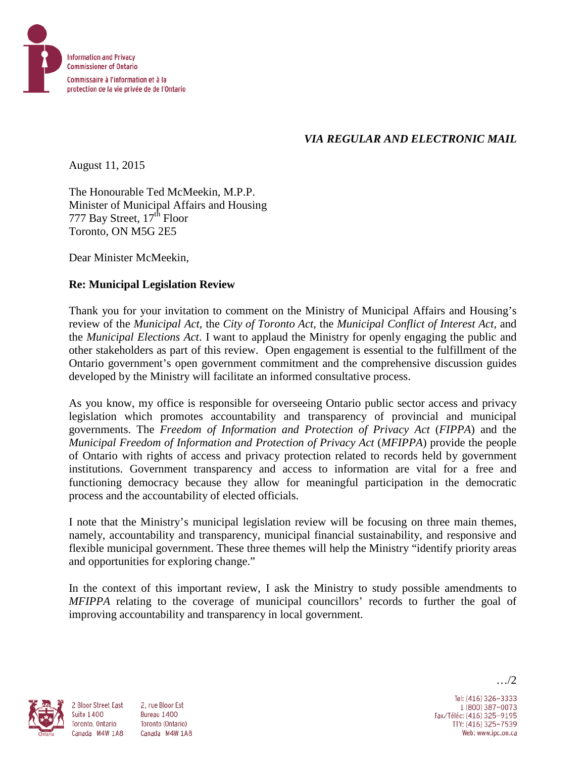

## *VIA REGULAR AND ELECTRONIC MAIL*

August 11, 2015

The Honourable Ted McMeekin, M.P.P. Minister of Municipal Affairs and Housing 777 Bay Street,  $17<sup>th</sup>$  Floor Toronto, ON M5G 2E5

Dear Minister McMeekin,

## **Re: Municipal Legislation Review**

Thank you for your invitation to comment on the Ministry of Municipal Affairs and Housing's review of the *Municipal Act*, the *City of Toronto Act*, the *Municipal Conflict of Interest Act*, and the *Municipal Elections Act*. I want to applaud the Ministry for openly engaging the public and other stakeholders as part of this review. Open engagement is essential to the fulfillment of the Ontario government's open government commitment and the comprehensive discussion guides developed by the Ministry will facilitate an informed consultative process.

As you know, my office is responsible for overseeing Ontario public sector access and privacy legislation which promotes accountability and transparency of provincial and municipal governments. The *Freedom of Information and Protection of Privacy Act* (*FIPPA*) and the *Municipal Freedom of Information and Protection of Privacy Act* (*MFIPPA*) provide the people of Ontario with rights of access and privacy protection related to records held by government institutions. Government transparency and access to information are vital for a free and functioning democracy because they allow for meaningful participation in the democratic process and the accountability of elected officials.

I note that the Ministry's municipal legislation review will be focusing on three main themes, namely, accountability and transparency, municipal financial sustainability, and responsive and flexible municipal government. These three themes will help the Ministry "identify priority areas and opportunities for exploring change."

In the context of this important review, I ask the Ministry to study possible amendments to *MFIPPA* relating to the coverage of municipal councillors' records to further the goal of improving accountability and transparency in local government.



**Suite 1400** 

2 Bloor Street East 2. rue Bloor Est Bureau 1400 Toronto, Ontario Toronto (Ontario) Canada M4W 1A8 Canada M4W 1A8

Tel: (416) 326-3333 1 (800) 387-0073 Fax/Téléc: (416) 325-9195 TTY: (416) 325-7539 Web: www.ipc.on.ca

…/2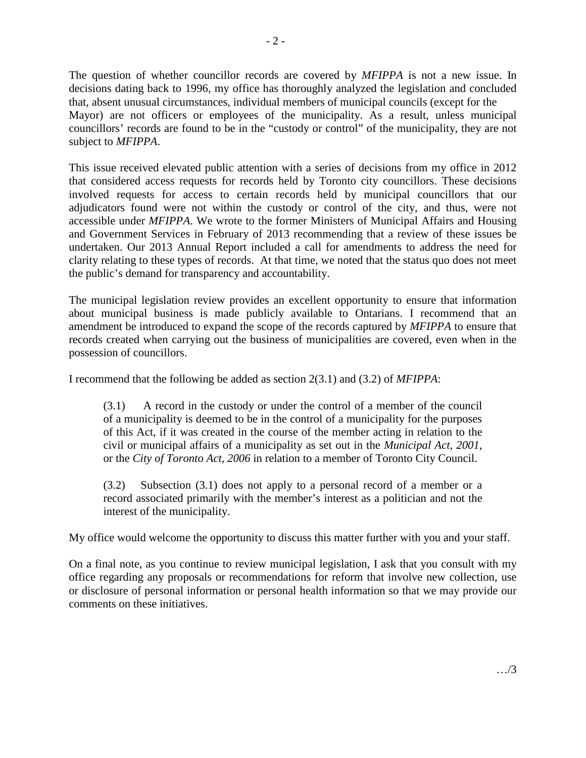The question of whether councillor records are covered by *MFIPPA* is not a new issue. In decisions dating back to 1996, my office has thoroughly analyzed the legislation and concluded that, absent unusual circumstances, individual members of municipal councils (except for the Mayor) are not officers or employees of the municipality. As a result, unless municipal councillors' records are found to be in the "custody or control" of the municipality, they are not subject to *MFIPPA*.

This issue received elevated public attention with a series of decisions from my office in 2012 that considered access requests for records held by Toronto city councillors. These decisions involved requests for access to certain records held by municipal councillors that our adjudicators found were not within the custody or control of the city, and thus, were not accessible under *MFIPPA*. We wrote to the former Ministers of Municipal Affairs and Housing and Government Services in February of 2013 recommending that a review of these issues be undertaken. Our 2013 Annual Report included a call for amendments to address the need for clarity relating to these types of records. At that time, we noted that the status quo does not meet the public's demand for transparency and accountability.

The municipal legislation review provides an excellent opportunity to ensure that information about municipal business is made publicly available to Ontarians. I recommend that an amendment be introduced to expand the scope of the records captured by *MFIPPA* to ensure that records created when carrying out the business of municipalities are covered, even when in the possession of councillors.

I recommend that the following be added as section 2(3.1) and (3.2) of *MFIPPA*:

(3.1) A record in the custody or under the control of a member of the council of a municipality is deemed to be in the control of a municipality for the purposes of this Act, if it was created in the course of the member acting in relation to the civil or municipal affairs of a municipality as set out in the *Municipal Act, 2001*, or the *City of Toronto Act, 2006* in relation to a member of Toronto City Council.

(3.2) Subsection (3.1) does not apply to a personal record of a member or a record associated primarily with the member's interest as a politician and not the interest of the municipality.

My office would welcome the opportunity to discuss this matter further with you and your staff.

On a final note, as you continue to review municipal legislation, I ask that you consult with my office regarding any proposals or recommendations for reform that involve new collection, use or disclosure of personal information or personal health information so that we may provide our comments on these initiatives.